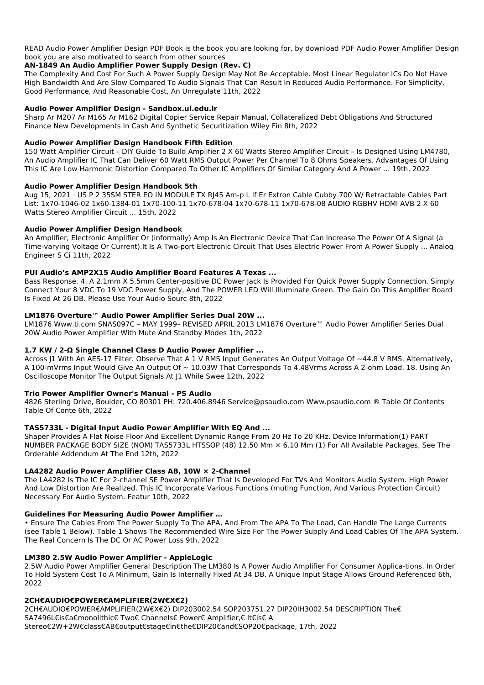READ Audio Power Amplifier Design PDF Book is the book you are looking for, by download PDF Audio Power Amplifier Design book you are also motivated to search from other sources

### **AN-1849 An Audio Amplifier Power Supply Design (Rev. C)**

The Complexity And Cost For Such A Power Supply Design May Not Be Acceptable. Most Linear Regulator ICs Do Not Have High Bandwidth And Are Slow Compared To Audio Signals That Can Result In Reduced Audio Performance. For Simplicity, Good Performance, And Reasonable Cost, An Unregulate 11th, 2022

### **Audio Power Amplifier Design - Sandbox.ul.edu.lr**

Sharp Ar M207 Ar M165 Ar M162 Digital Copier Service Repair Manual, Collateralized Debt Obligations And Structured Finance New Developments In Cash And Synthetic Securitization Wiley Fin 8th, 2022

### **Audio Power Amplifier Design Handbook Fifth Edition**

150 Watt Amplifier Circuit – DIY Guide To Build Amplifier 2 X 60 Watts Stereo Amplifier Circuit – Is Designed Using LM4780, An Audio Amplifier IC That Can Deliver 60 Watt RMS Output Power Per Channel To 8 Ohms Speakers. Advantages Of Using This IC Are Low Harmonic Distortion Compared To Other IC Amplifiers Of Similar Category And A Power … 19th, 2022

### **Audio Power Amplifier Design Handbook 5th**

Aug 15, 2021 · US P 2 35SM STER EO IN MODULE TX RJ45 Am-p L If Er Extron Cable Cubby 700 W/ Retractable Cables Part List: 1x70-1046-02 1x60-1384-01 1x70-100-11 1x70-678-04 1x70-678-11 1x70-678-08 AUDIO RGBHV HDMI AVB 2 X 60 Watts Stereo Amplifier Circuit … 15th, 2022

### **Audio Power Amplifier Design Handbook**

An Amplifier, Electronic Amplifier Or (informally) Amp Is An Electronic Device That Can Increase The Power Of A Signal (a Time-varying Voltage Or Current).It Is A Two-port Electronic Circuit That Uses Electric Power From A Power Supply ... Analog Engineer S Ci 11th, 2022

## **PUI Audio's AMP2X15 Audio Amplifier Board Features A Texas ...**

Bass Response. 4. A 2.1mm X 5.5mm Center-positive DC Power Jack Is Provided For Quick Power Supply Connection. Simply Connect Your 8 VDC To 19 VDC Power Supply, And The POWER LED Will Illuminate Green. The Gain On This Amplifier Board Is Fixed At 26 DB. Please Use Your Audio Sourc 8th, 2022

## **LM1876 Overture™ Audio Power Amplifier Series Dual 20W ...**

LM1876 Www.ti.com SNAS097C – MAY 1999– REVISED APRIL 2013 LM1876 Overture™ Audio Power Amplifier Series Dual 20W Audio Power Amplifier With Mute And Standby Modes 1th, 2022

## **1.7 KW / 2-Ω Single Channel Class D Audio Power Amplifier ...**

Across J1 With An AES-17 Filter. Observe That A 1 V RMS Input Generates An Output Voltage Of ~44.8 V RMS. Alternatively, A 100-mVrms Input Would Give An Output Of ~ 10.03W That Corresponds To 4.48Vrms Across A 2-ohm Load. 18. Using An Oscilloscope Monitor The Output Signals At J1 While Swee 12th, 2022

## **Trio Power Amplifier Owner's Manual - PS Audio**

4826 Sterling Drive, Boulder, CO 80301 PH: 720.406.8946 Service@psaudio.com Www.psaudio.com ® Table Of Contents Table Of Conte 6th, 2022

## **TAS5733L - Digital Input Audio Power Amplifier With EQ And ...**

Shaper Provides A Flat Noise Floor And Excellent Dynamic Range From 20 Hz To 20 KHz. Device Information(1) PART NUMBER PACKAGE BODY SIZE (NOM) TAS5733L HTSSOP (48) 12.50 Mm × 6.10 Mm (1) For All Available Packages, See The Orderable Addendum At The End 12th, 2022

## **LA4282 Audio Power Amplifier Class AB, 10W × 2-Channel**

The LA4282 Is The IC For 2-channel SE Power Amplifier That Is Developed For TVs And Monitors Audio System. High Power And Low Distortion Are Realized. This IC Incorporate Various Functions (muting Function, And Various Protection Circuit) Necessary For Audio System. Featur 10th, 2022

#### **Guidelines For Measuring Audio Power Amplifier …**

### • Ensure The Cables From The Power Supply To The APA, And From The APA To The Load, Can Handle The Large Currents (see Table 1 Below). Table 1 Shows The Recommended Wire Size For The Power Supply And Load Cables Of The APA System. The Real Concern Is The DC Or AC Power Loss 9th, 2022

#### **LM380 2.5W Audio Power Amplifier - AppleLogic**

2.5W Audio Power Amplifier General Description The LM380 Is A Power Audio Amplifier For Consumer Applica-tions. In Order To Hold System Cost To A Minimum, Gain Is Internally Fixed At 34 DB. A Unique Input Stage Allows Ground Referenced 6th, 2022

#### **2CH€AUDIO€POWER€AMPLIFIER(2W€X€2)**

2CH€AUDIO€POWER€AMPLIFIER(2W€X€2) DIP203002.54 SOP203751.27 DIP20IH3002.54 DESCRIPTION The€ SA7496L€is€a€monolithic€ Two€ Channels€ Power€ Amplifier,€ It€is€ A Stereo€2W+2W€class€AB€output€stage€in€the€DIP20€and€SOP20€package, 17th, 2022